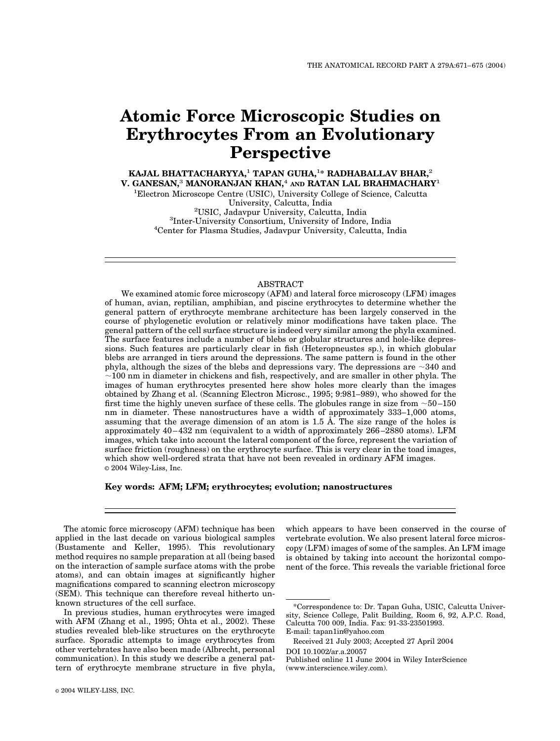# **Atomic Force Microscopic Studies on Erythrocytes From an Evolutionary Perspective**

**KAJAL BHATTACHARYYA,**<sup>1</sup> **TAPAN GUHA,**<sup>1</sup> **\* RADHABALLAV BHAR,**<sup>2</sup> **V. GANESAN,**<sup>3</sup> **MANORANJAN KHAN,**<sup>4</sup> **AND RATAN LAL BRAHMACHARY**<sup>1</sup>

<sup>1</sup>Electron Microscope Centre (USIC), University College of Science, Calcutta University, Calcutta, India <sup>2</sup>USIC, Jadavpur University, Calcutta, India <sup>3</sup>Inter-University Consortium, University of Indore, India

<sup>4</sup>Center for Plasma Studies, Jadavpur University, Calcutta, India

# ABSTRACT

We examined atomic force microscopy (AFM) and lateral force microscopy (LFM) images of human, avian, reptilian, amphibian, and piscine erythrocytes to determine whether the general pattern of erythrocyte membrane architecture has been largely conserved in the course of phylogenetic evolution or relatively minor modifications have taken place. The general pattern of the cell surface structure is indeed very similar among the phyla examined. The surface features include a number of blebs or globular structures and hole-like depressions. Such features are particularly clear in fish (Heteropneustes sp.), in which globular blebs are arranged in tiers around the depressions. The same pattern is found in the other phyla, although the sizes of the blebs and depressions vary. The depressions are  $\sim$  340 and  $\sim$  100 nm in diameter in chickens and fish, respectively, and are smaller in other phyla. The images of human erythrocytes presented here show holes more clearly than the images obtained by Zhang et al. (Scanning Electron Microsc., 1995; 9:981–989), who showed for the first time the highly uneven surface of these cells. The globules range in size from  $\sim$  50–150 nm in diameter. These nanostructures have a width of approximately 333–1,000 atoms, assuming that the average dimension of an atom is 1.5 Å. The size range of the holes is approximately 40–432 nm (equivalent to a width of approximately 266–2880 atoms). LFM images, which take into account the lateral component of the force, represent the variation of surface friction (roughness) on the erythrocyte surface. This is very clear in the toad images, which show well-ordered strata that have not been revealed in ordinary AFM images. © 2004 Wiley-Liss, Inc.

# **Key words: AFM; LFM; erythrocytes; evolution; nanostructures**

The atomic force microscopy (AFM) technique has been applied in the last decade on various biological samples (Bustamente and Keller, 1995). This revolutionary method requires no sample preparation at all (being based on the interaction of sample surface atoms with the probe atoms), and can obtain images at significantly higher magnifications compared to scanning electron microscopy (SEM). This technique can therefore reveal hitherto unknown structures of the cell surface.

In previous studies, human erythrocytes were imaged with AFM (Zhang et al., 1995; Ohta et al., 2002). These studies revealed bleb-like structures on the erythrocyte surface. Sporadic attempts to image erythrocytes from other vertebrates have also been made (Albrecht, personal communication). In this study we describe a general pattern of erythrocyte membrane structure in five phyla,

© 2004 WILEY-LISS, INC.

which appears to have been conserved in the course of vertebrate evolution. We also present lateral force microscopy (LFM) images of some of the samples. An LFM image is obtained by taking into account the horizontal component of the force. This reveals the variable frictional force

DOI 10.1002/ar.a.20057

<sup>\*</sup>Correspondence to: Dr. Tapan Guha, USIC, Calcutta University, Science College, Palit Building, Room 6, 92, A.P.C. Road, Calcutta 700 009, India. Fax: 91-33-23501993. E-mail: tapan1in@yahoo.com

Received 21 July 2003; Accepted 27 April 2004

Published online 11 June 2004 in Wiley InterScience (www.interscience.wiley.com).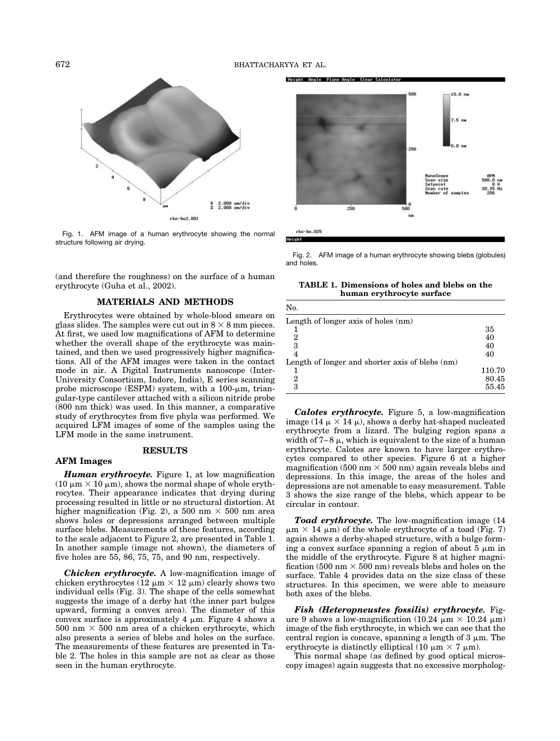

Fig. 1. AFM image of a human erythrocyte showing the normal structure following air drying.

(and therefore the roughness) on the surface of a human erythrocyte (Guha et al., 2002).

## **MATERIALS AND METHODS**

Erythrocytes were obtained by whole-blood smears on glass slides. The samples were cut out in 8  $\times$  8 mm pieces. At first, we used low magnifications of AFM to determine whether the overall shape of the erythrocyte was maintained, and then we used progressively higher magnifications. All of the AFM images were taken in the contact mode in air. A Digital Instruments nanoscope (Inter-University Consortium, Indore, India), E series scanning probe microscope (ESPM) system, with a  $100$ - $\mu$ m, triangular-type cantilever attached with a silicon nitride probe (800 nm thick) was used. In this manner, a comparative study of erythrocytes from five phyla was performed. We acquired LFM images of some of the samples using the LFM mode in the same instrument.

### **RESULTS**

## **AFM Images**

*Human erythrocyte.* Figure 1, at low magnification (10  $\mu$ m  $\times$  10  $\mu$ m), shows the normal shape of whole erythrocytes. Their appearance indicates that drying during processing resulted in little or no structural distortion. At higher magnification (Fig. 2), a 500 nm  $\times$  500 nm area shows holes or depressions arranged between multiple surface blebs. Measurements of these features, according to the scale adjacent to Figure 2, are presented in Table 1. In another sample (image not shown), the diameters of five holes are 55, 86, 75, 75, and 90 nm, respectively.

*Chicken erythrocyte.* A low-magnification image of chicken erythrocytes (12  $\mu$ m  $\times$  12  $\mu$ m) clearly shows two individual cells (Fig. 3). The shape of the cells somewhat suggests the image of a derby hat (the inner part bulges upward, forming a convex area). The diameter of this convex surface is approximately 4  $\mu$ m. Figure 4 shows a  $500 \text{ nm} \times 500 \text{ nm}$  area of a chicken erythrocyte, which also presents a series of blebs and holes on the surface. The measurements of these features are presented in Table 2. The holes in this sample are not as clear as those seen in the human erythrocyte.

Height Angle Plane Angle Clear Calculato



 $rbc-hu.025$ Height

 $\mathbf{v}$ 

Fig. 2. AFM image of a human erythrocyte showing blebs (globules) and holes.

**TABLE 1. Dimensions of holes and blebs on the human erythrocyte surface**

| INO.                                            |        |
|-------------------------------------------------|--------|
| Length of longer axis of holes (nm)             |        |
|                                                 | 35     |
| 2                                               | 40     |
| 3                                               | 40     |
|                                                 | 40     |
| Length of longer and shorter axis of blebs (nm) |        |
|                                                 | 110.70 |
| 2                                               | 80.45  |
| З                                               | 55.45  |

*Calotes erythrocyte.* Figure 5, a low-magnification image (14  $\mu$   $\times$  14  $\mu$ ), shows a derby hat-shaped nucleated erythrocyte from a lizard. The bulging region spans a width of  $7-8 \mu$ , which is equivalent to the size of a human erythrocyte. Calotes are known to have larger erythrocytes compared to other species. Figure 6 at a higher magnification (500 nm  $\times$  500 nm) again reveals blebs and depressions. In this image, the areas of the holes and depressions are not amenable to easy measurement. Table 3 shows the size range of the blebs, which appear to be circular in contour.

*Toad erythrocyte.* The low-magnification image (14  $\mu$ m  $\times$  14  $\mu$ m) of the whole erythrocyte of a toad (Fig. 7) again shows a derby-shaped structure, with a bulge forming a convex surface spanning a region of about  $5 \mu m$  in the middle of the erythrocyte. Figure 8 at higher magnification (500 nm  $\times$  500 nm) reveals blebs and holes on the surface. Table 4 provides data on the size class of these structures. In this specimen, we were able to measure both axes of the blebs.

*Fish (Heteropneustes fossilis) erythrocyte.* Figure 9 shows a low-magnification  $(10.24 \mu m \times 10.24 \mu m)$ image of the fish erythrocyte, in which we can see that the central region is concave, spanning a length of  $3 \mu m$ . The erythrocyte is distinctly elliptical (10  $\mu$ m  $\times$  7  $\mu$ m).

This normal shape (as defined by good optical microscopy images) again suggests that no excessive morpholog-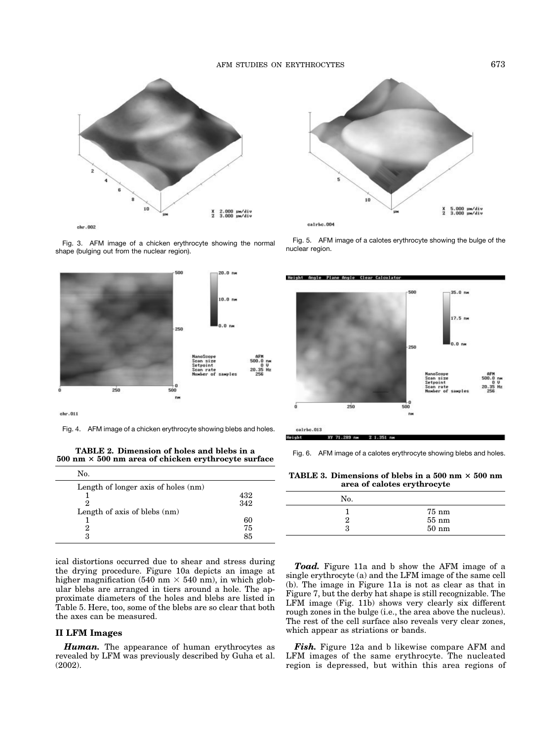## AFM STUDIES ON ERYTHROCYTES 673



Fig. 3. AFM image of a chicken erythrocyte showing the normal shape (bulging out from the nuclear region).



 $chr.011$ 

 $\ddot{\phantom{0}}$ 

Fig. 4. AFM image of a chicken erythrocyte showing blebs and holes.

**TABLE 2. Dimension of holes and blebs in a 500 nm 500 nm area of chicken erythrocyte surface**

| No.                                 |     |  |
|-------------------------------------|-----|--|
| Length of longer axis of holes (nm) |     |  |
|                                     | 432 |  |
| 9                                   | 342 |  |
| Length of axis of blebs (nm)        |     |  |
|                                     | 60  |  |
| 2                                   | 75  |  |
| З                                   | 85  |  |
|                                     |     |  |

ical distortions occurred due to shear and stress during the drying procedure. Figure 10a depicts an image at higher magnification (540 nm  $\times$  540 nm), in which globular blebs are arranged in tiers around a hole. The approximate diameters of the holes and blebs are listed in Table 5. Here, too, some of the blebs are so clear that both the axes can be measured.

#### **II LFM Images**

*Human.* The appearance of human erythrocytes as revealed by LFM was previously described by Guha et al. (2002).



calrhc.004

Fig. 5. AFM image of a calotes erythrocyte showing the bulge of the nuclear region.



calrbc.013 Height XY 71.289 nm

Fig. 6. AFM image of a calotes erythrocyte showing blebs and holes.

 $21.351 m$ 

**TABLE 3. Dimensions of blebs in a 500 nm**  $\times$  **500 nm area of calotes erythrocyte**

| No. |                  |
|-----|------------------|
|     | $75 \text{ nm}$  |
| ິ   | $55~\mathrm{nm}$ |
| 3   | $50~\mathrm{nm}$ |

*Toad.* Figure 11a and b show the AFM image of a single erythrocyte (a) and the LFM image of the same cell (b). The image in Figure 11a is not as clear as that in Figure 7, but the derby hat shape is still recognizable. The LFM image (Fig. 11b) shows very clearly six different rough zones in the bulge (i.e., the area above the nucleus). The rest of the cell surface also reveals very clear zones, which appear as striations or bands.

*Fish.* Figure 12a and b likewise compare AFM and LFM images of the same erythrocyte. The nucleated region is depressed, but within this area regions of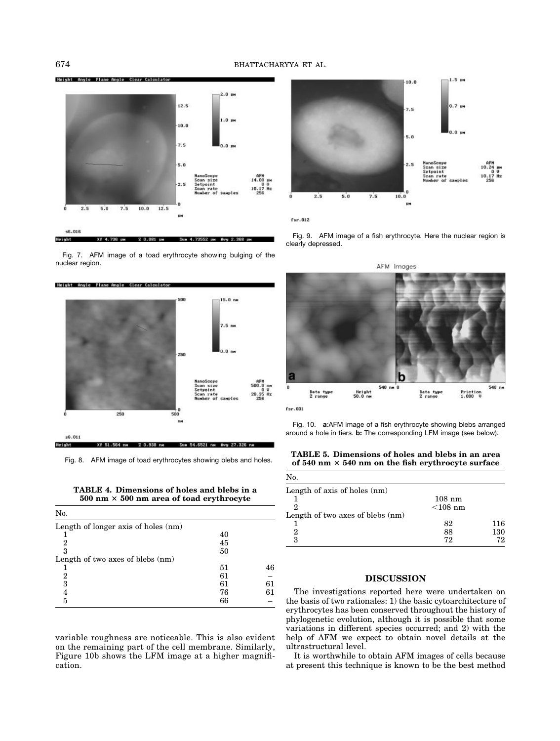

Fig. 7. AFM image of a toad erythrocyte showing bulging of the nuclear region.



Fig. 8. AFM image of toad erythrocytes showing blebs and holes.

**TABLE 4. Dimensions of holes and blebs in a 500 nm 500 nm area of toad erythrocyte**

| No.                                 |    |    |
|-------------------------------------|----|----|
| Length of longer axis of holes (nm) |    |    |
|                                     | 40 |    |
| 2                                   | 45 |    |
| 3                                   | 50 |    |
| Length of two axes of blebs (nm)    |    |    |
|                                     | 51 | 46 |
| 2                                   | 61 |    |
| 3                                   | 61 | 61 |
| 4                                   | 76 | 61 |
| 5                                   | 66 |    |

variable roughness are noticeable. This is also evident on the remaining part of the cell membrane. Similarly, Figure 10b shows the LFM image at a higher magnification.



 $fsr.012$ 

Fig. 9. AFM image of a fish erythrocyte. Here the nuclear region is clearly depressed.



Fig. 10. **a**:AFM image of a fish erythrocyte showing blebs arranged around a hole in tiers. **b:** The corresponding LFM image (see below).

**TABLE 5. Dimensions of holes and blebs in an area of 540 nm 540 nm on the fish erythrocyte surface**

| No.                              |            |     |
|----------------------------------|------------|-----|
| Length of axis of holes (nm)     |            |     |
|                                  | $108$ nm   |     |
| 2                                | $<$ 108 nm |     |
| Length of two axes of blebs (nm) |            |     |
|                                  | 82         | 116 |
| 2                                | 88         | 130 |
| 3                                | 72         | 72  |

#### **DISCUSSION**

The investigations reported here were undertaken on the basis of two rationales: 1) the basic cytoarchitecture of erythrocytes has been conserved throughout the history of phylogenetic evolution, although it is possible that some variations in different species occurred; and 2) with the help of AFM we expect to obtain novel details at the ultrastructural level.

It is worthwhile to obtain AFM images of cells because at present this technique is known to be the best method